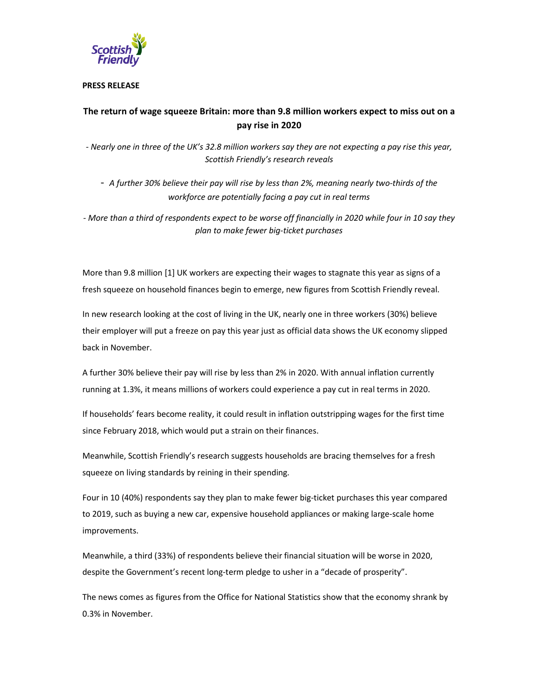

## **PRESS RELEASE**

# **The return of wage squeeze Britain: more than 9.8 million workers expect to miss out on a pay rise in 2020**

*- Nearly one in three of the UK's 32.8 million workers say they are not expecting a pay rise this year, Scottish Friendly's research reveals* 

- *A further 30% believe their pay will rise by less than 2%, meaning nearly two-thirds of the workforce are potentially facing a pay cut in real terms* 

*- More than a third of respondents expect to be worse off financially in 2020 while four in 10 say they plan to make fewer big-ticket purchases* 

More than 9.8 million [1] UK workers are expecting their wages to stagnate this year as signs of a fresh squeeze on household finances begin to emerge, new figures from Scottish Friendly reveal.

In new research looking at the cost of living in the UK, nearly one in three workers (30%) believe their employer will put a freeze on pay this year just as official data shows the UK economy slipped back in November.

A further 30% believe their pay will rise by less than 2% in 2020. With annual inflation currently running at 1.3%, it means millions of workers could experience a pay cut in real terms in 2020.

If households' fears become reality, it could result in inflation outstripping wages for the first time since February 2018, which would put a strain on their finances.

Meanwhile, Scottish Friendly's research suggests households are bracing themselves for a fresh squeeze on living standards by reining in their spending.

Four in 10 (40%) respondents say they plan to make fewer big-ticket purchases this year compared to 2019, such as buying a new car, expensive household appliances or making large-scale home improvements.

Meanwhile, a third (33%) of respondents believe their financial situation will be worse in 2020, despite the Government's recent long-term pledge to usher in a "decade of prosperity".

The news comes as figures from the Office for National Statistics show that the economy shrank by 0.3% in November.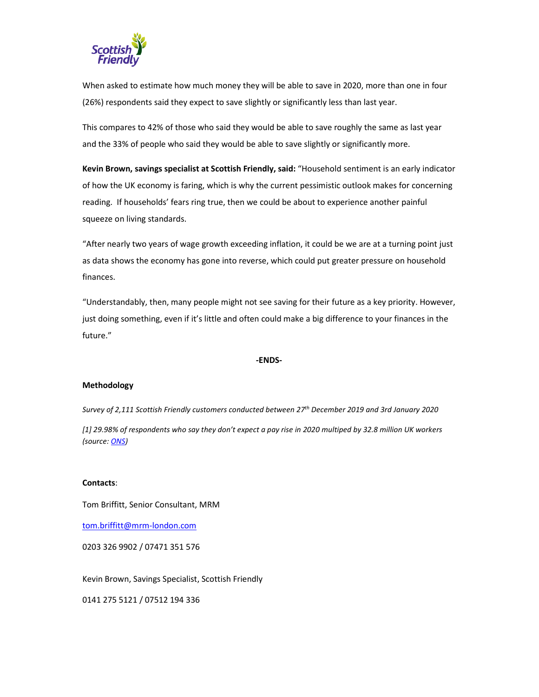

When asked to estimate how much money they will be able to save in 2020, more than one in four (26%) respondents said they expect to save slightly or significantly less than last year.

This compares to 42% of those who said they would be able to save roughly the same as last year and the 33% of people who said they would be able to save slightly or significantly more.

**Kevin Brown, savings specialist at Scottish Friendly, said:** "Household sentiment is an early indicator of how the UK economy is faring, which is why the current pessimistic outlook makes for concerning reading. If households' fears ring true, then we could be about to experience another painful squeeze on living standards.

"After nearly two years of wage growth exceeding inflation, it could be we are at a turning point just as data shows the economy has gone into reverse, which could put greater pressure on household finances.

"Understandably, then, many people might not see saving for their future as a key priority. However, just doing something, even if it's little and often could make a big difference to your finances in the future."

#### **-ENDS-**

## **Methodology**

*Survey of 2,111 Scottish Friendly customers conducted between 27th December 2019 and 3rd January 2020* 

*[1] 29.98% of respondents who say they don't expect a pay rise in 2020 multiped by 32.8 million UK workers (source: ONS)* 

#### **Contacts**:

Tom Briffitt, Senior Consultant, MRM

tom.briffitt@mrm-london.com

0203 326 9902 / 07471 351 576

Kevin Brown, Savings Specialist, Scottish Friendly

0141 275 5121 / 07512 194 336